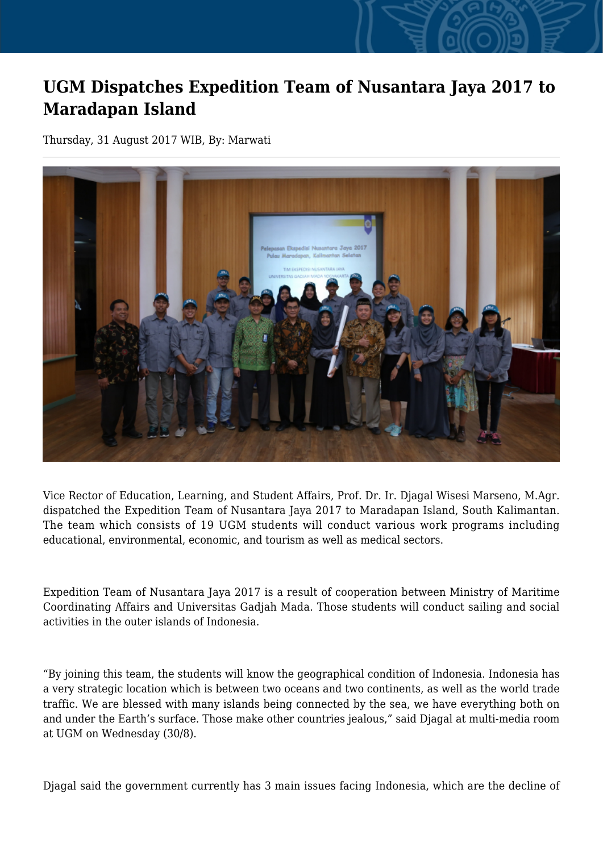## **UGM Dispatches Expedition Team of Nusantara Jaya 2017 to Maradapan Island**

Thursday, 31 August 2017 WIB, By: Marwati



Vice Rector of Education, Learning, and Student Affairs, Prof. Dr. Ir. Djagal Wisesi Marseno, M.Agr. dispatched the Expedition Team of Nusantara Jaya 2017 to Maradapan Island, South Kalimantan. The team which consists of 19 UGM students will conduct various work programs including educational, environmental, economic, and tourism as well as medical sectors.

Expedition Team of Nusantara Jaya 2017 is a result of cooperation between Ministry of Maritime Coordinating Affairs and Universitas Gadjah Mada. Those students will conduct sailing and social activities in the outer islands of Indonesia.

"By joining this team, the students will know the geographical condition of Indonesia. Indonesia has a very strategic location which is between two oceans and two continents, as well as the world trade traffic. We are blessed with many islands being connected by the sea, we have everything both on and under the Earth's surface. Those make other countries jealous," said Djagal at multi-media room at UGM on Wednesday (30/8).

Djagal said the government currently has 3 main issues facing Indonesia, which are the decline of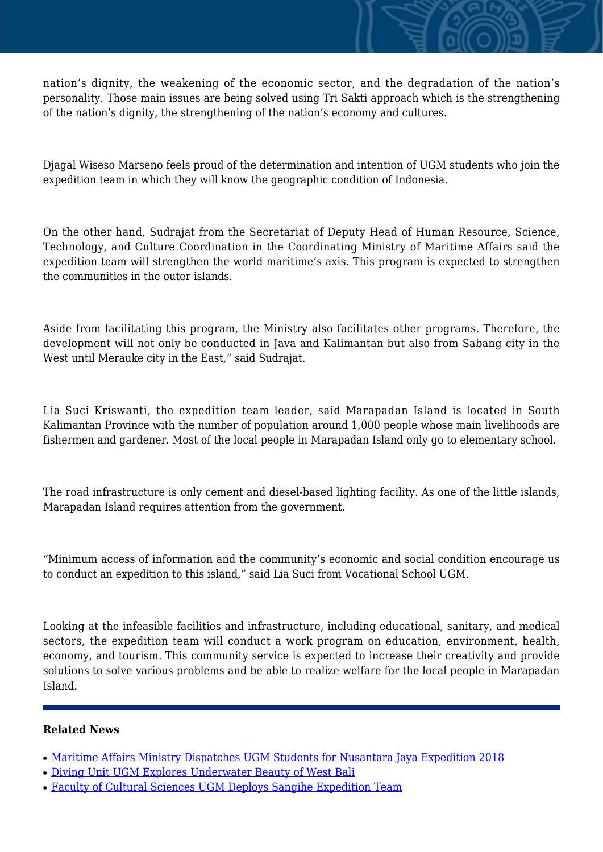nation's dignity, the weakening of the economic sector, and the degradation of the nation's personality. Those main issues are being solved using Tri Sakti approach which is the strengthening of the nation's dignity, the strengthening of the nation's economy and cultures.

Djagal Wiseso Marseno feels proud of the determination and intention of UGM students who join the expedition team in which they will know the geographic condition of Indonesia.

On the other hand, Sudrajat from the Secretariat of Deputy Head of Human Resource, Science, Technology, and Culture Coordination in the Coordinating Ministry of Maritime Affairs said the expedition team will strengthen the world maritime's axis. This program is expected to strengthen the communities in the outer islands.

Aside from facilitating this program, the Ministry also facilitates other programs. Therefore, the development will not only be conducted in Java and Kalimantan but also from Sabang city in the West until Merauke city in the East," said Sudrajat.

Lia Suci Kriswanti, the expedition team leader, said Marapadan Island is located in South Kalimantan Province with the number of population around 1,000 people whose main livelihoods are fishermen and gardener. Most of the local people in Marapadan Island only go to elementary school.

The road infrastructure is only cement and diesel-based lighting facility. As one of the little islands, Marapadan Island requires attention from the government.

"Minimum access of information and the community's economic and social condition encourage us to conduct an expedition to this island," said Lia Suci from Vocational School UGM.

Looking at the infeasible facilities and infrastructure, including educational, sanitary, and medical sectors, the expedition team will conduct a work program on education, environment, health, economy, and tourism. This community service is expected to increase their creativity and provide solutions to solve various problems and be able to realize welfare for the local people in Marapadan Island.

## **Related News**

- [Maritime Affairs Ministry Dispatches UGM Students for Nusantara Jaya Expedition 2018](http://ugm.ac.id/www.ugm.ac.id//en/news/13741-faculty-of-cultural-sciences-ugm-deploys-sangihe-expedition-team)
- [Diving Unit UGM Explores Underwater Beauty of West Bali](http://ugm.ac.id/www.ugm.ac.id//en/news/13705-ugm-diving-unit-ready-to-dive-in-bali)
- [Faculty of Cultural Sciences UGM Deploys Sangihe Expedition Team](http://ugm.ac.id/www.ugm.ac.id//en/news/14095-ugm-team-succeeds-revealing-sangihe-underwater-treasure)